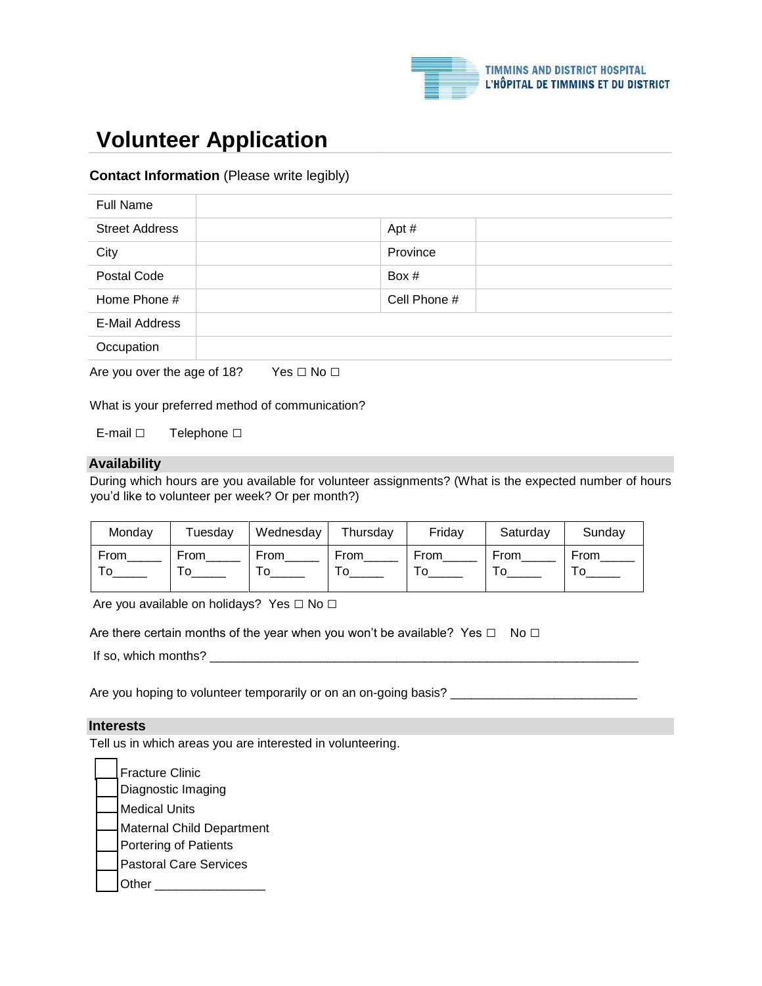

# **Volunteer Application**

## **Contact Information** (Please write legibly)

| <b>Full Name</b>      |              |  |
|-----------------------|--------------|--|
| <b>Street Address</b> | Apt #        |  |
| City                  | Province     |  |
| Postal Code           | Box #        |  |
| Home Phone #          | Cell Phone # |  |
| <b>E-Mail Address</b> |              |  |
| Occupation            |              |  |
|                       |              |  |

Are you over the age of 18? Yes  $\Box$  No  $\Box$ 

What is your preferred method of communication?

E-mail □ Telephone □

#### **Availability**

During which hours are you available for volunteer assignments? (What is the expected number of hours you'd like to volunteer per week? Or per month?)

| Monday | Tuesday | Wednesday  | Thursday | Friday | Saturday | Sunday |
|--------|---------|------------|----------|--------|----------|--------|
| From   | From    | From<br>Тο | From     | From   | From     | From   |

Are you available on holidays? Yes □ No □

Are there certain months of the year when you won't be available? Yes  $\Box$  No  $\Box$ 

If so, which months?  $\frac{1}{2}$  and  $\frac{1}{2}$  and  $\frac{1}{2}$  and  $\frac{1}{2}$  and  $\frac{1}{2}$  and  $\frac{1}{2}$  and  $\frac{1}{2}$  and  $\frac{1}{2}$  and  $\frac{1}{2}$  and  $\frac{1}{2}$  and  $\frac{1}{2}$  and  $\frac{1}{2}$  and  $\frac{1}{2}$  and  $\frac{1}{2}$  and  $\frac{$ 

Are you hoping to volunteer temporarily or on an on-going basis? \_\_\_\_\_\_\_\_\_\_\_\_\_\_\_

## **Interests**

Tell us in which areas you are interested in volunteering.

Fracture Clinic Diagnostic Imaging Medical Units Maternal Child Department Portering of Patients Pastoral Care Services Other  $\Box$